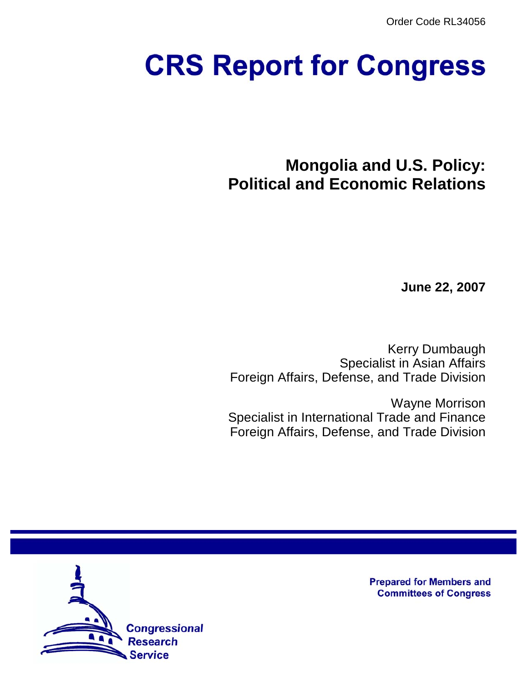Order Code RL34056

# **CRS Report for Congress**

**Mongolia and U.S. Policy: Political and Economic Relations**

**June 22, 2007**

Kerry Dumbaugh Specialist in Asian Affairs Foreign Affairs, Defense, and Trade Division

Wayne Morrison Specialist in International Trade and Finance Foreign Affairs, Defense, and Trade Division



**Prepared for Members and Committees of Congress**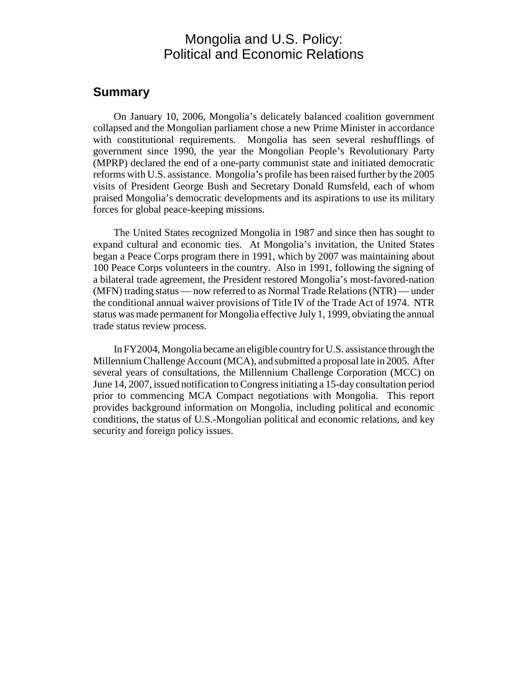# Mongolia and U.S. Policy: Political and Economic Relations

#### **Summary**

On January 10, 2006, Mongolia's delicately balanced coalition government collapsed and the Mongolian parliament chose a new Prime Minister in accordance with constitutional requirements. Mongolia has seen several reshufflings of government since 1990, the year the Mongolian People's Revolutionary Party (MPRP) declared the end of a one-party communist state and initiated democratic reforms with U.S. assistance. Mongolia's profile has been raised further by the 2005 visits of President George Bush and Secretary Donald Rumsfeld, each of whom praised Mongolia's democratic developments and its aspirations to use its military forces for global peace-keeping missions.

The United States recognized Mongolia in 1987 and since then has sought to expand cultural and economic ties. At Mongolia's invitation, the United States began a Peace Corps program there in 1991, which by 2007 was maintaining about 100 Peace Corps volunteers in the country. Also in 1991, following the signing of a bilateral trade agreement, the President restored Mongolia's most-favored-nation (MFN) trading status — now referred to as Normal Trade Relations (NTR) — under the conditional annual waiver provisions of Title IV of the Trade Act of 1974. NTR status was made permanent for Mongolia effective July 1, 1999, obviating the annual trade status review process.

In FY2004, Mongolia became an eligible country for U.S. assistance through the Millennium Challenge Account (MCA), and submitted a proposal late in 2005. After several years of consultations, the Millennium Challenge Corporation (MCC) on June 14, 2007, issued notification to Congress initiating a 15-day consultation period prior to commencing MCA Compact negotiations with Mongolia. This report provides background information on Mongolia, including political and economic conditions, the status of U.S.-Mongolian political and economic relations, and key security and foreign policy issues.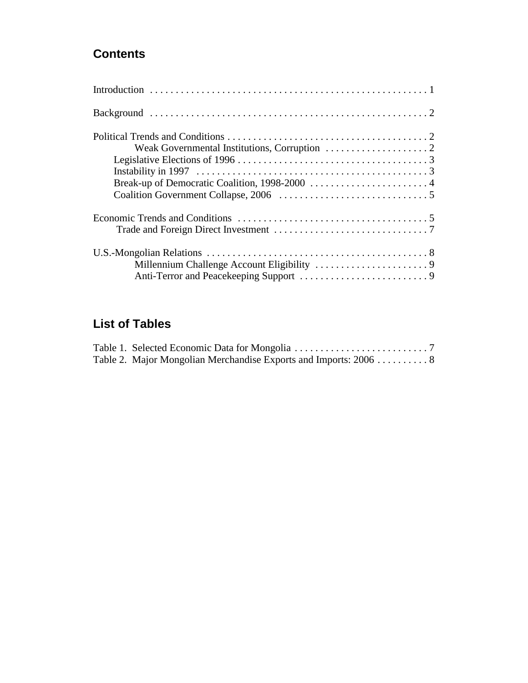# **Contents**

# **List of Tables**

| Table 2. Major Mongolian Merchandise Exports and Imports: 2006  8 |  |
|-------------------------------------------------------------------|--|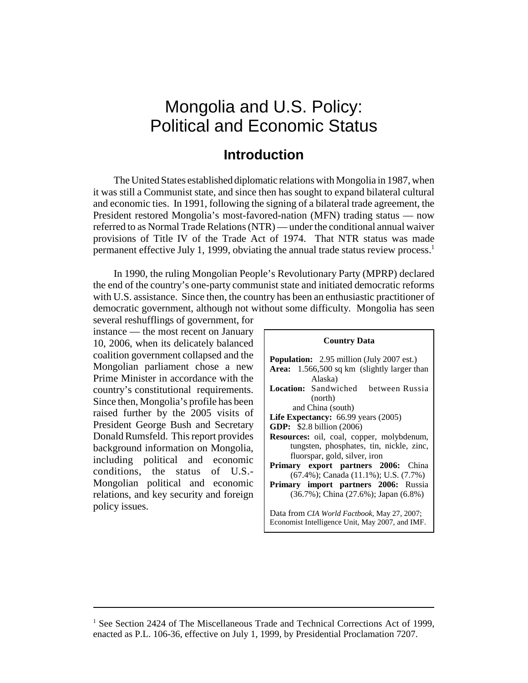# Mongolia and U.S. Policy: Political and Economic Status

## **Introduction**

The United States established diplomatic relations with Mongolia in 1987, when it was still a Communist state, and since then has sought to expand bilateral cultural and economic ties. In 1991, following the signing of a bilateral trade agreement, the President restored Mongolia's most-favored-nation (MFN) trading status — now referred to as Normal Trade Relations (NTR) — under the conditional annual waiver provisions of Title IV of the Trade Act of 1974. That NTR status was made permanent effective July 1, 1999, obviating the annual trade status review process.<sup>1</sup>

In 1990, the ruling Mongolian People's Revolutionary Party (MPRP) declared the end of the country's one-party communist state and initiated democratic reforms with U.S. assistance. Since then, the country has been an enthusiastic practitioner of democratic government, although not without some difficulty. Mongolia has seen

several reshufflings of government, for instance — the most recent on January 10, 2006, when its delicately balanced coalition government collapsed and the Mongolian parliament chose a new Prime Minister in accordance with the country's constitutional requirements. Since then, Mongolia's profile has been raised further by the 2005 visits of President George Bush and Secretary Donald Rumsfeld. This report provides background information on Mongolia, including political and economic conditions, the status of U.S.- Mongolian political and economic relations, and key security and foreign policy issues.

| <b>Country Data</b>                                                                                    |  |  |  |
|--------------------------------------------------------------------------------------------------------|--|--|--|
| <b>Population:</b> 2.95 million (July 2007 est.)                                                       |  |  |  |
| Area: 1.566,500 sq km (slightly larger than                                                            |  |  |  |
| Alaska)                                                                                                |  |  |  |
| <b>Location:</b> Sandwiched between Russia                                                             |  |  |  |
| (north)                                                                                                |  |  |  |
| and China (south)                                                                                      |  |  |  |
| Life Expectancy: $66.99$ years $(2005)$                                                                |  |  |  |
| <b>GDP:</b> $$2.8$ billion $(2006)$                                                                    |  |  |  |
| <b>Resources:</b> oil, coal, copper, molybdenum,                                                       |  |  |  |
| tungsten, phosphates, tin, nickle, zinc,                                                               |  |  |  |
| fluorspar, gold, silver, iron                                                                          |  |  |  |
| <b>Primary export partners 2006:</b> China                                                             |  |  |  |
| $(67.4\%)$ ; Canada $(11.1\%)$ ; U.S. $(7.7\%)$                                                        |  |  |  |
| <b>Primary import partners 2006: Russia</b>                                                            |  |  |  |
| (36.7%); China (27.6%); Japan (6.8%)                                                                   |  |  |  |
| Data from <i>CIA World Factbook</i> , May 27, 2007;<br>Economist Intelligence Unit, May 2007, and IMF. |  |  |  |

<sup>&</sup>lt;sup>1</sup> See Section 2424 of The Miscellaneous Trade and Technical Corrections Act of 1999, enacted as P.L. 106-36, effective on July 1, 1999, by Presidential Proclamation 7207.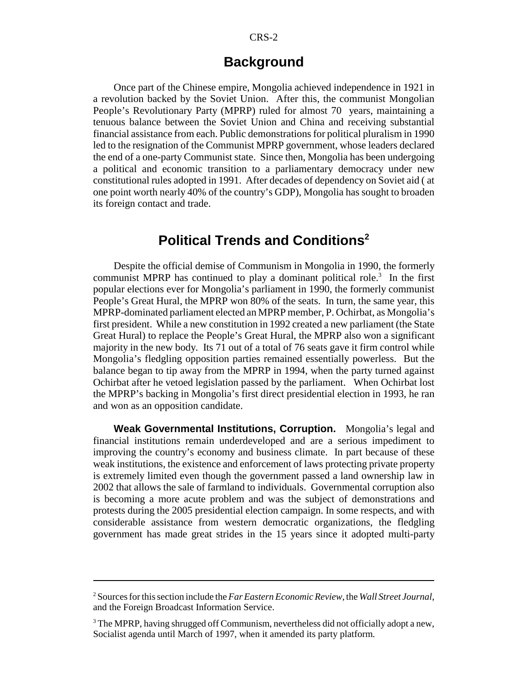## **Background**

Once part of the Chinese empire, Mongolia achieved independence in 1921 in a revolution backed by the Soviet Union. After this, the communist Mongolian People's Revolutionary Party (MPRP) ruled for almost 70 years, maintaining a tenuous balance between the Soviet Union and China and receiving substantial financial assistance from each. Public demonstrations for political pluralism in 1990 led to the resignation of the Communist MPRP government, whose leaders declared the end of a one-party Communist state. Since then, Mongolia has been undergoing a political and economic transition to a parliamentary democracy under new constitutional rules adopted in 1991. After decades of dependency on Soviet aid ( at one point worth nearly 40% of the country's GDP), Mongolia has sought to broaden its foreign contact and trade.

# **Political Trends and Conditions<sup>2</sup>**

Despite the official demise of Communism in Mongolia in 1990, the formerly communist MPRP has continued to play a dominant political role.<sup>3</sup> In the first popular elections ever for Mongolia's parliament in 1990, the formerly communist People's Great Hural, the MPRP won 80% of the seats. In turn, the same year, this MPRP-dominated parliament elected an MPRP member, P. Ochirbat, as Mongolia's first president. While a new constitution in 1992 created a new parliament (the State Great Hural) to replace the People's Great Hural, the MPRP also won a significant majority in the new body. Its 71 out of a total of 76 seats gave it firm control while Mongolia's fledgling opposition parties remained essentially powerless. But the balance began to tip away from the MPRP in 1994, when the party turned against Ochirbat after he vetoed legislation passed by the parliament. When Ochirbat lost the MPRP's backing in Mongolia's first direct presidential election in 1993, he ran and won as an opposition candidate.

**Weak Governmental Institutions, Corruption.** Mongolia's legal and financial institutions remain underdeveloped and are a serious impediment to improving the country's economy and business climate. In part because of these weak institutions, the existence and enforcement of laws protecting private property is extremely limited even though the government passed a land ownership law in 2002 that allows the sale of farmland to individuals. Governmental corruption also is becoming a more acute problem and was the subject of demonstrations and protests during the 2005 presidential election campaign. In some respects, and with considerable assistance from western democratic organizations, the fledgling government has made great strides in the 15 years since it adopted multi-party

<sup>2</sup> Sources for this section include the *Far Eastern Economic Review*, the *Wall Street Journal*, and the Foreign Broadcast Information Service.

 $3$  The MPRP, having shrugged off Communism, nevertheless did not officially adopt a new, Socialist agenda until March of 1997, when it amended its party platform.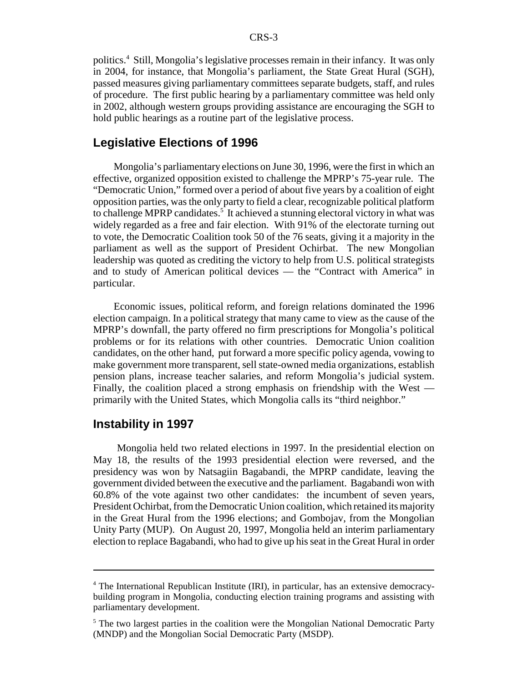politics.4 Still, Mongolia's legislative processes remain in their infancy. It was only in 2004, for instance, that Mongolia's parliament, the State Great Hural (SGH), passed measures giving parliamentary committees separate budgets, staff, and rules of procedure. The first public hearing by a parliamentary committee was held only in 2002, although western groups providing assistance are encouraging the SGH to hold public hearings as a routine part of the legislative process.

#### **Legislative Elections of 1996**

Mongolia's parliamentary elections on June 30, 1996, were the first in which an effective, organized opposition existed to challenge the MPRP's 75-year rule. The "Democratic Union," formed over a period of about five years by a coalition of eight opposition parties, was the only party to field a clear, recognizable political platform to challenge MPRP candidates.<sup>5</sup> It achieved a stunning electoral victory in what was widely regarded as a free and fair election. With 91% of the electorate turning out to vote, the Democratic Coalition took 50 of the 76 seats, giving it a majority in the parliament as well as the support of President Ochirbat. The new Mongolian leadership was quoted as crediting the victory to help from U.S. political strategists and to study of American political devices — the "Contract with America" in particular.

Economic issues, political reform, and foreign relations dominated the 1996 election campaign. In a political strategy that many came to view as the cause of the MPRP's downfall, the party offered no firm prescriptions for Mongolia's political problems or for its relations with other countries. Democratic Union coalition candidates, on the other hand, put forward a more specific policy agenda, vowing to make government more transparent, sell state-owned media organizations, establish pension plans, increase teacher salaries, and reform Mongolia's judicial system. Finally, the coalition placed a strong emphasis on friendship with the West primarily with the United States, which Mongolia calls its "third neighbor."

#### **Instability in 1997**

 Mongolia held two related elections in 1997. In the presidential election on May 18, the results of the 1993 presidential election were reversed, and the presidency was won by Natsagiin Bagabandi, the MPRP candidate, leaving the government divided between the executive and the parliament. Bagabandi won with 60.8% of the vote against two other candidates: the incumbent of seven years, President Ochirbat, from the Democratic Union coalition, which retained its majority in the Great Hural from the 1996 elections; and Gombojav, from the Mongolian Unity Party (MUP). On August 20, 1997, Mongolia held an interim parliamentary election to replace Bagabandi, who had to give up his seat in the Great Hural in order

<sup>&</sup>lt;sup>4</sup> The International Republican Institute (IRI), in particular, has an extensive democracybuilding program in Mongolia, conducting election training programs and assisting with parliamentary development.

<sup>&</sup>lt;sup>5</sup> The two largest parties in the coalition were the Mongolian National Democratic Party (MNDP) and the Mongolian Social Democratic Party (MSDP).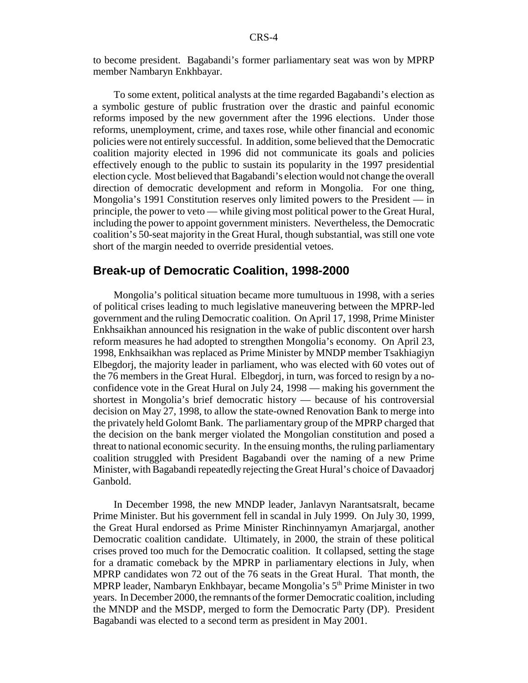to become president. Bagabandi's former parliamentary seat was won by MPRP member Nambaryn Enkhbayar.

To some extent, political analysts at the time regarded Bagabandi's election as a symbolic gesture of public frustration over the drastic and painful economic reforms imposed by the new government after the 1996 elections. Under those reforms, unemployment, crime, and taxes rose, while other financial and economic policies were not entirely successful. In addition, some believed that the Democratic coalition majority elected in 1996 did not communicate its goals and policies effectively enough to the public to sustain its popularity in the 1997 presidential election cycle. Most believed that Bagabandi's election would not change the overall direction of democratic development and reform in Mongolia. For one thing, Mongolia's 1991 Constitution reserves only limited powers to the President — in principle, the power to veto — while giving most political power to the Great Hural, including the power to appoint government ministers. Nevertheless, the Democratic coalition's 50-seat majority in the Great Hural, though substantial, was still one vote short of the margin needed to override presidential vetoes.

#### **Break-up of Democratic Coalition, 1998-2000**

Mongolia's political situation became more tumultuous in 1998, with a series of political crises leading to much legislative maneuvering between the MPRP-led government and the ruling Democratic coalition. On April 17, 1998, Prime Minister Enkhsaikhan announced his resignation in the wake of public discontent over harsh reform measures he had adopted to strengthen Mongolia's economy. On April 23, 1998, Enkhsaikhan was replaced as Prime Minister by MNDP member Tsakhiagiyn Elbegdorj, the majority leader in parliament, who was elected with 60 votes out of the 76 members in the Great Hural. Elbegdorj, in turn, was forced to resign by a noconfidence vote in the Great Hural on July 24, 1998 — making his government the shortest in Mongolia's brief democratic history — because of his controversial decision on May 27, 1998, to allow the state-owned Renovation Bank to merge into the privately held Golomt Bank. The parliamentary group of the MPRP charged that the decision on the bank merger violated the Mongolian constitution and posed a threat to national economic security. In the ensuing months, the ruling parliamentary coalition struggled with President Bagabandi over the naming of a new Prime Minister, with Bagabandi repeatedly rejecting the Great Hural's choice of Davaadorj Ganbold.

In December 1998, the new MNDP leader, Janlavyn Narantsatsralt, became Prime Minister. But his government fell in scandal in July 1999. On July 30, 1999, the Great Hural endorsed as Prime Minister Rinchinnyamyn Amarjargal, another Democratic coalition candidate. Ultimately, in 2000, the strain of these political crises proved too much for the Democratic coalition. It collapsed, setting the stage for a dramatic comeback by the MPRP in parliamentary elections in July, when MPRP candidates won 72 out of the 76 seats in the Great Hural. That month, the MPRP leader, Nambaryn Enkhbayar, became Mongolia's  $5<sup>th</sup>$  Prime Minister in two years. In December 2000, the remnants of the former Democratic coalition, including the MNDP and the MSDP, merged to form the Democratic Party (DP). President Bagabandi was elected to a second term as president in May 2001.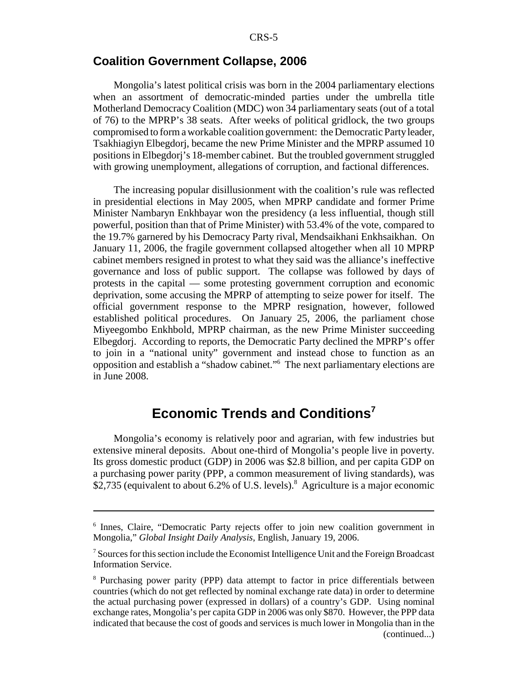#### **Coalition Government Collapse, 2006**

Mongolia's latest political crisis was born in the 2004 parliamentary elections when an assortment of democratic-minded parties under the umbrella title Motherland Democracy Coalition (MDC) won 34 parliamentary seats (out of a total of 76) to the MPRP's 38 seats. After weeks of political gridlock, the two groups compromised to form a workable coalition government: the Democratic Party leader, Tsakhiagiyn Elbegdorj, became the new Prime Minister and the MPRP assumed 10 positions in Elbegdorj's 18-member cabinet. But the troubled government struggled with growing unemployment, allegations of corruption, and factional differences.

The increasing popular disillusionment with the coalition's rule was reflected in presidential elections in May 2005, when MPRP candidate and former Prime Minister Nambaryn Enkhbayar won the presidency (a less influential, though still powerful, position than that of Prime Minister) with 53.4% of the vote, compared to the 19.7% garnered by his Democracy Party rival, Mendsaikhani Enkhsaikhan. On January 11, 2006, the fragile government collapsed altogether when all 10 MPRP cabinet members resigned in protest to what they said was the alliance's ineffective governance and loss of public support. The collapse was followed by days of protests in the capital — some protesting government corruption and economic deprivation, some accusing the MPRP of attempting to seize power for itself. The official government response to the MPRP resignation, however, followed established political procedures. On January 25, 2006, the parliament chose Miyeegombo Enkhbold, MPRP chairman, as the new Prime Minister succeeding Elbegdorj. According to reports, the Democratic Party declined the MPRP's offer to join in a "national unity" government and instead chose to function as an opposition and establish a "shadow cabinet."6 The next parliamentary elections are in June 2008.

# **Economic Trends and Conditions<sup>7</sup>**

Mongolia's economy is relatively poor and agrarian, with few industries but extensive mineral deposits. About one-third of Mongolia's people live in poverty. Its gross domestic product (GDP) in 2006 was \$2.8 billion, and per capita GDP on a purchasing power parity (PPP, a common measurement of living standards), was \$2,735 (equivalent to about 6.2% of U.S. levels).<sup>8</sup> Agriculture is a major economic

<sup>&</sup>lt;sup>6</sup> Innes, Claire, "Democratic Party rejects offer to join new coalition government in Mongolia," *Global Insight Daily Analysis*, English, January 19, 2006.

<sup>&</sup>lt;sup>7</sup> Sources for this section include the Economist Intelligence Unit and the Foreign Broadcast Information Service.

<sup>&</sup>lt;sup>8</sup> Purchasing power parity (PPP) data attempt to factor in price differentials between countries (which do not get reflected by nominal exchange rate data) in order to determine the actual purchasing power (expressed in dollars) of a country's GDP. Using nominal exchange rates, Mongolia's per capita GDP in 2006 was only \$870. However, the PPP data indicated that because the cost of goods and services is much lower in Mongolia than in the (continued...)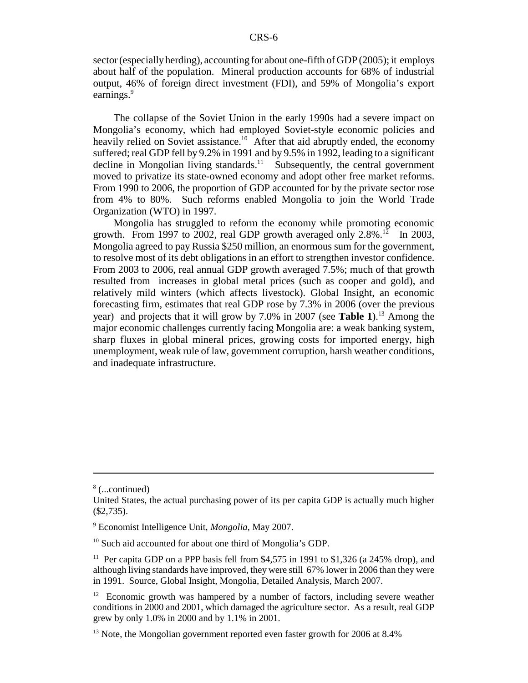sector (especially herding), accounting for about one-fifth of GDP (2005); it employs about half of the population. Mineral production accounts for 68% of industrial output, 46% of foreign direct investment (FDI), and 59% of Mongolia's export earnings.<sup>9</sup>

The collapse of the Soviet Union in the early 1990s had a severe impact on Mongolia's economy, which had employed Soviet-style economic policies and heavily relied on Soviet assistance.<sup>10</sup> After that aid abruptly ended, the economy suffered; real GDP fell by 9.2% in 1991 and by 9.5% in 1992, leading to a significant decline in Mongolian living standards.<sup>11</sup> Subsequently, the central government moved to privatize its state-owned economy and adopt other free market reforms. From 1990 to 2006, the proportion of GDP accounted for by the private sector rose from 4% to 80%. Such reforms enabled Mongolia to join the World Trade Organization (WTO) in 1997.

Mongolia has struggled to reform the economy while promoting economic growth. From 1997 to 2002, real GDP growth averaged only  $2.8\%$ .<sup>12</sup> In 2003, Mongolia agreed to pay Russia \$250 million, an enormous sum for the government, to resolve most of its debt obligations in an effort to strengthen investor confidence. From 2003 to 2006, real annual GDP growth averaged 7.5%; much of that growth resulted from increases in global metal prices (such as cooper and gold), and relatively mild winters (which affects livestock). Global Insight, an economic forecasting firm, estimates that real GDP rose by 7.3% in 2006 (over the previous year) and projects that it will grow by 7.0% in 2007 (see **Table 1**).<sup>13</sup> Among the major economic challenges currently facing Mongolia are: a weak banking system, sharp fluxes in global mineral prices, growing costs for imported energy, high unemployment, weak rule of law, government corruption, harsh weather conditions, and inadequate infrastructure.

<sup>8</sup> (...continued)

United States, the actual purchasing power of its per capita GDP is actually much higher (\$2,735).

<sup>9</sup> Economist Intelligence Unit, *Mongolia*, May 2007.

<sup>&</sup>lt;sup>10</sup> Such aid accounted for about one third of Mongolia's GDP.

<sup>&</sup>lt;sup>11</sup> Per capita GDP on a PPP basis fell from \$4,575 in 1991 to \$1,326 (a 245% drop), and although living standards have improved, they were still 67% lower in 2006 than they were in 1991. Source, Global Insight, Mongolia, Detailed Analysis, March 2007.

 $12$  Economic growth was hampered by a number of factors, including severe weather conditions in 2000 and 2001, which damaged the agriculture sector. As a result, real GDP grew by only 1.0% in 2000 and by 1.1% in 2001.

<sup>&</sup>lt;sup>13</sup> Note, the Mongolian government reported even faster growth for 2006 at 8.4%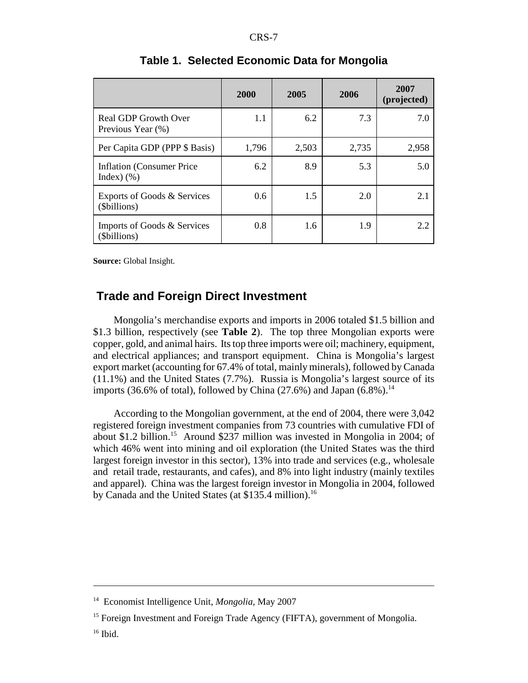|                                                   | 2000  | 2005  | 2006  | 2007<br>(projected) |
|---------------------------------------------------|-------|-------|-------|---------------------|
| <b>Real GDP Growth Over</b><br>Previous Year (%)  | 1.1   | 6.2   | 7.3   | 7.0                 |
| Per Capita GDP (PPP \$ Basis)                     | 1,796 | 2,503 | 2,735 | 2,958               |
| <b>Inflation (Consumer Price)</b><br>Index $)(\%$ | 6.2   | 8.9   | 5.3   | 5.0                 |
| Exports of Goods & Services<br>(\$billions)       | 0.6   | 1.5   | 2.0   | 2.1                 |
| Imports of Goods & Services<br>(\$billions)       | 0.8   | 1.6   | 1.9   | 2.2                 |

#### **Table 1. Selected Economic Data for Mongolia**

**Source:** Global Insight.

#### **Trade and Foreign Direct Investment**

Mongolia's merchandise exports and imports in 2006 totaled \$1.5 billion and \$1.3 billion, respectively (see **Table 2**). The top three Mongolian exports were copper, gold, and animal hairs. Its top three imports were oil; machinery, equipment, and electrical appliances; and transport equipment. China is Mongolia's largest export market (accounting for 67.4% of total, mainly minerals), followed by Canada (11.1%) and the United States (7.7%). Russia is Mongolia's largest source of its imports (36.6% of total), followed by China (27.6%) and Japan  $(6.8\%)$ .<sup>14</sup>

According to the Mongolian government, at the end of 2004, there were 3,042 registered foreign investment companies from 73 countries with cumulative FDI of about \$1.2 billion.15 Around \$237 million was invested in Mongolia in 2004; of which 46% went into mining and oil exploration (the United States was the third largest foreign investor in this sector), 13% into trade and services (e.g., wholesale and retail trade, restaurants, and cafes), and 8% into light industry (mainly textiles and apparel). China was the largest foreign investor in Mongolia in 2004, followed by Canada and the United States (at \$135.4 million).<sup>16</sup>

<sup>14</sup> Economist Intelligence Unit, *Mongolia*, May 2007

<sup>&</sup>lt;sup>15</sup> Foreign Investment and Foreign Trade Agency (FIFTA), government of Mongolia.

 $16$  Ibid.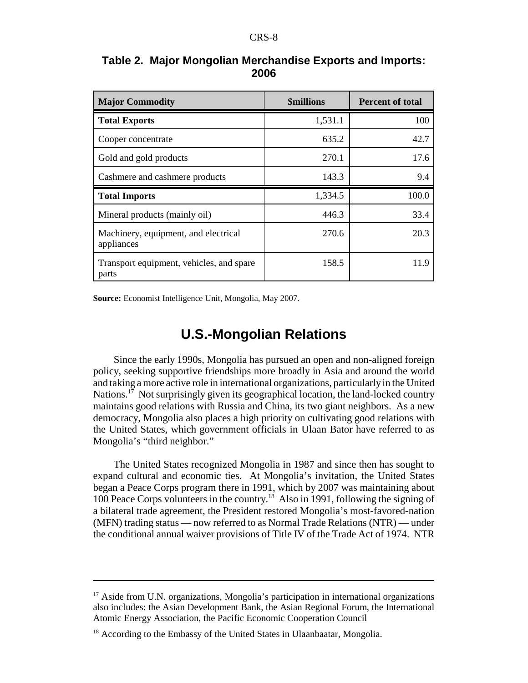| <b>Major Commodity</b>                             | <b>\$millions</b> | <b>Percent of total</b> |  |
|----------------------------------------------------|-------------------|-------------------------|--|
| <b>Total Exports</b>                               | 1,531.1           | 100                     |  |
| Cooper concentrate                                 | 635.2             | 42.7                    |  |
| Gold and gold products                             | 270.1             | 17.6                    |  |
| Cashmere and cashmere products                     | 143.3             | 9.4                     |  |
| <b>Total Imports</b>                               | 1,334.5           | 100.0                   |  |
| Mineral products (mainly oil)                      | 446.3             | 33.4                    |  |
|                                                    |                   |                         |  |
| Machinery, equipment, and electrical<br>appliances | 270.6             | 20.3                    |  |

#### **Table 2. Major Mongolian Merchandise Exports and Imports: 2006**

**Source:** Economist Intelligence Unit, Mongolia, May 2007.

# **U.S.-Mongolian Relations**

Since the early 1990s, Mongolia has pursued an open and non-aligned foreign policy, seeking supportive friendships more broadly in Asia and around the world and taking a more active role in international organizations, particularly in the United Nations.<sup>17</sup> Not surprisingly given its geographical location, the land-locked country maintains good relations with Russia and China, its two giant neighbors. As a new democracy, Mongolia also places a high priority on cultivating good relations with the United States, which government officials in Ulaan Bator have referred to as Mongolia's "third neighbor."

The United States recognized Mongolia in 1987 and since then has sought to expand cultural and economic ties. At Mongolia's invitation, the United States began a Peace Corps program there in 1991, which by 2007 was maintaining about 100 Peace Corps volunteers in the country.18 Also in 1991, following the signing of a bilateral trade agreement, the President restored Mongolia's most-favored-nation (MFN) trading status — now referred to as Normal Trade Relations (NTR) — under the conditional annual waiver provisions of Title IV of the Trade Act of 1974. NTR

<sup>&</sup>lt;sup>17</sup> Aside from U.N. organizations, Mongolia's participation in international organizations also includes: the Asian Development Bank, the Asian Regional Forum, the International Atomic Energy Association, the Pacific Economic Cooperation Council

<sup>&</sup>lt;sup>18</sup> According to the Embassy of the United States in Ulaanbaatar, Mongolia.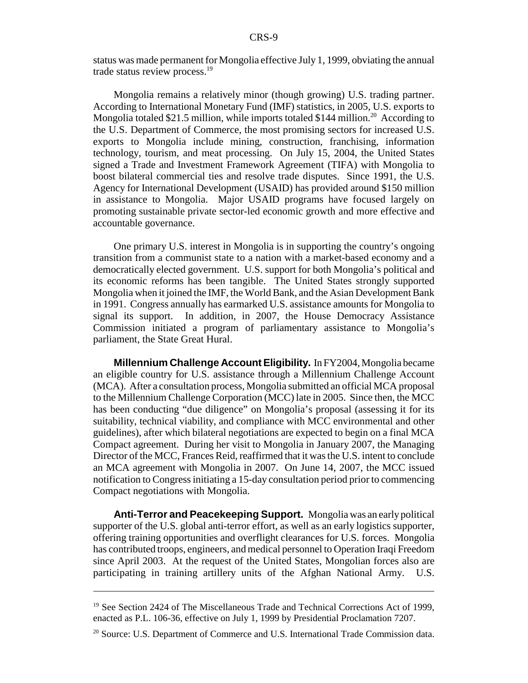status was made permanent for Mongolia effective July 1, 1999, obviating the annual trade status review process.<sup>19</sup>

Mongolia remains a relatively minor (though growing) U.S. trading partner. According to International Monetary Fund (IMF) statistics, in 2005, U.S. exports to Mongolia totaled \$21.5 million, while imports totaled \$144 million.<sup>20</sup> According to the U.S. Department of Commerce, the most promising sectors for increased U.S. exports to Mongolia include mining, construction, franchising, information technology, tourism, and meat processing. On July 15, 2004, the United States signed a Trade and Investment Framework Agreement (TIFA) with Mongolia to boost bilateral commercial ties and resolve trade disputes. Since 1991, the U.S. Agency for International Development (USAID) has provided around \$150 million in assistance to Mongolia. Major USAID programs have focused largely on promoting sustainable private sector-led economic growth and more effective and accountable governance.

One primary U.S. interest in Mongolia is in supporting the country's ongoing transition from a communist state to a nation with a market-based economy and a democratically elected government. U.S. support for both Mongolia's political and its economic reforms has been tangible. The United States strongly supported Mongolia when it joined the IMF, the World Bank, and the Asian Development Bank in 1991. Congress annually has earmarked U.S. assistance amounts for Mongolia to signal its support. In addition, in 2007, the House Democracy Assistance Commission initiated a program of parliamentary assistance to Mongolia's parliament, the State Great Hural.

**Millennium Challenge Account Eligibility.** In FY2004, Mongolia became an eligible country for U.S. assistance through a Millennium Challenge Account (MCA). After a consultation process, Mongolia submitted an official MCA proposal to the Millennium Challenge Corporation (MCC) late in 2005. Since then, the MCC has been conducting "due diligence" on Mongolia's proposal (assessing it for its suitability, technical viability, and compliance with MCC environmental and other guidelines), after which bilateral negotiations are expected to begin on a final MCA Compact agreement. During her visit to Mongolia in January 2007, the Managing Director of the MCC, Frances Reid, reaffirmed that it was the U.S. intent to conclude an MCA agreement with Mongolia in 2007. On June 14, 2007, the MCC issued notification to Congress initiating a 15-day consultation period prior to commencing Compact negotiations with Mongolia.

**Anti-Terror and Peacekeeping Support.** Mongolia was an early political supporter of the U.S. global anti-terror effort, as well as an early logistics supporter, offering training opportunities and overflight clearances for U.S. forces. Mongolia has contributed troops, engineers, and medical personnel to Operation Iraqi Freedom since April 2003. At the request of the United States, Mongolian forces also are participating in training artillery units of the Afghan National Army. U.S.

<sup>&</sup>lt;sup>19</sup> See Section 2424 of The Miscellaneous Trade and Technical Corrections Act of 1999, enacted as P.L. 106-36, effective on July 1, 1999 by Presidential Proclamation 7207.

<sup>&</sup>lt;sup>20</sup> Source: U.S. Department of Commerce and U.S. International Trade Commission data.